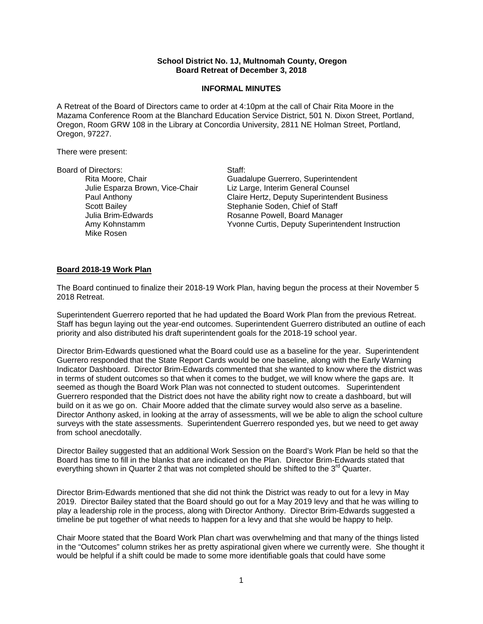# **School District No. 1J, Multnomah County, Oregon Board Retreat of December 3, 2018**

## **INFORMAL MINUTES**

A Retreat of the Board of Directors came to order at 4:10pm at the call of Chair Rita Moore in the Mazama Conference Room at the Blanchard Education Service District, 501 N. Dixon Street, Portland, Oregon, Room GRW 108 in the Library at Concordia University, 2811 NE Holman Street, Portland, Oregon, 97227.

There were present:

#### Board of Directors: Staff:

Scott Bailey **Stephanie Soden, Chief of Staff** Mike Rosen

Rita Moore, Chair Guadalupe Guerrero, Superintendent Julie Esparza Brown, Vice-Chair Liz Large, Interim General Counsel Paul Anthony Claire Hertz, Deputy Superintendent Business Julia Brim-Edwards Rosanne Powell, Board Manager Amy Kohnstamm Yvonne Curtis, Deputy Superintendent Instruction

### **Board 2018-19 Work Plan**

The Board continued to finalize their 2018-19 Work Plan, having begun the process at their November 5 2018 Retreat.

Superintendent Guerrero reported that he had updated the Board Work Plan from the previous Retreat. Staff has begun laying out the year-end outcomes. Superintendent Guerrero distributed an outline of each priority and also distributed his draft superintendent goals for the 2018-19 school year.

Director Brim-Edwards questioned what the Board could use as a baseline for the year. Superintendent Guerrero responded that the State Report Cards would be one baseline, along with the Early Warning Indicator Dashboard. Director Brim-Edwards commented that she wanted to know where the district was in terms of student outcomes so that when it comes to the budget, we will know where the gaps are. It seemed as though the Board Work Plan was not connected to student outcomes. Superintendent Guerrero responded that the District does not have the ability right now to create a dashboard, but will build on it as we go on. Chair Moore added that the climate survey would also serve as a baseline. Director Anthony asked, in looking at the array of assessments, will we be able to align the school culture surveys with the state assessments. Superintendent Guerrero responded yes, but we need to get away from school anecdotally.

Director Bailey suggested that an additional Work Session on the Board's Work Plan be held so that the Board has time to fill in the blanks that are indicated on the Plan. Director Brim-Edwards stated that everything shown in Quarter 2 that was not completed should be shifted to the  $3<sup>rd</sup>$  Quarter.

Director Brim-Edwards mentioned that she did not think the District was ready to out for a levy in May 2019. Director Bailey stated that the Board should go out for a May 2019 levy and that he was willing to play a leadership role in the process, along with Director Anthony. Director Brim-Edwards suggested a timeline be put together of what needs to happen for a levy and that she would be happy to help.

Chair Moore stated that the Board Work Plan chart was overwhelming and that many of the things listed in the "Outcomes" column strikes her as pretty aspirational given where we currently were. She thought it would be helpful if a shift could be made to some more identifiable goals that could have some